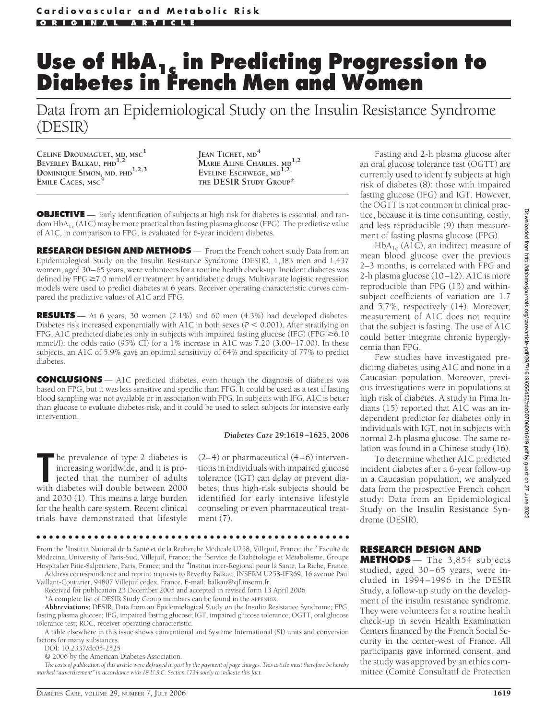# **Use of HbA1c in Predicting Progression to Diabetes in French Men and Women**

Data from an Epidemiological Study on the Insulin Resistance Syndrome (DESIR)

**CELINE DROUMAGUET, MD, MSC<sup>1</sup> BEVERLEY BALKAU, PHD1,2 DOMINIQUE SIMON, MD, PHD**<sup>1,2,3</sup> **EMILE CACES, MSC<sup>4</sup>**

**JEAN TICHET, MD<sup>4</sup> MARIE ALINE CHARLES, MD1,2 EVELINE ESCHWEGE, MD1,2 THE DESIR STUDY GROUP\***

**OBJECTIVE** — Early identification of subjects at high risk for diabetes is essential, and random  $HbA_{1c}$  (A1C) may be more practical than fasting plasma glucose (FPG). The predictive value of A1C, in comparison to FPG, is evaluated for 6-year incident diabetes.

**RESEARCH DESIGN AND METHODS** — From the French cohort study Data from an Epidemiological Study on the Insulin Resistance Syndrome (DESIR), 1,383 men and 1,437 women, aged 30–65 years, were volunteers for a routine health check-up. Incident diabetes was defined by FPG  $\geq$  7.0 mmol/l or treatment by antidiabetic drugs. Multivariate logistic regression models were used to predict diabetes at 6 years. Receiver operating characteristic curves compared the predictive values of A1C and FPG.

**RESULTS** — At 6 years, 30 women (2.1%) and 60 men (4.3%) had developed diabetes. Diabetes risk increased exponentially with A1C in both sexes ( $P \leq 0.001$ ). After stratifying on FPG, A1C predicted diabetes only in subjects with impaired fasting glucose (IFG) (FPG  $\geq$  6.10 mmol/l): the odds ratio (95% CI) for a 1% increase in A1C was 7.20 (3.00–17.00). In these subjects, an A1C of 5.9% gave an optimal sensitivity of 64% and specificity of 77% to predict diabetes.

**CONCLUSIONS** — A1C predicted diabetes, even though the diagnosis of diabetes was based on FPG, but it was less sensitive and specific than FPG. It could be used as a test if fasting blood sampling was not available or in association with FPG. In subjects with IFG, A1C is better than glucose to evaluate diabetes risk, and it could be used to select subjects for intensive early intervention.

#### *Diabetes Care* **29:1619 –1625, 2006**

The prevalence of type 2 diabetes is<br>
increasing worldwide, and it is pro-<br>
jected that the number of adults<br>
with diabetes will double between 2000 he prevalence of type 2 diabetes is increasing worldwide, and it is projected that the number of adults and 2030 (1). This means a large burden for the health care system. Recent clinical trials have demonstrated that lifestyle

 $(2-4)$  or pharmaceutical  $(4-6)$  interventions in individuals with impaired glucose tolerance (IGT) can delay or prevent diabetes; thus high-risk subjects should be identified for early intensive lifestyle counseling or even pharmaceutical treatment (7).

●●●●●●●●●●●●●●●●●●●●●●●●●●●●●●●●●●●●●●●●●●●●●●●●●

From the <sup>1</sup>Institut National de la Santé et de la Recherche Médicale U258, Villejuif, France; the <sup>2</sup> Faculté de Médecine, University of Paris-Sud, Villejuif, France; the <sup>3</sup>Service de Diabétologie et Métabolisme, Groupe Hospitalier Pitié-Salpêtrière, Paris, France; and the <sup>4</sup>Institut inter-Régional pour la Santé, La Riche, France. Address correspondence and reprint requests to Beverley Balkau, INSERM U258-IFR69, 16 avenue Paul

Vaillant-Couturier, 94807 Villejuif cedex, France. E-mail: balkau@vjf.inserm.fr.

Received for publication 23 December 2005 and accepted in revised form 13 April 2006 \*A complete list of DESIR Study Group members can be found in the APPENDIX.

**Abbreviations:** DESIR, Data from an Epidemiological Study on the Insulin Resistance Syndrome; FPG, fasting plasma glucose; IFG, impaired fasting glucose; IGT, impaired glucose tolerance; OGTT, oral glucose tolerance test; ROC, receiver operating characteristic.

A table elsewhere in this issue shows conventional and Système International (SI) units and conversion factors for many substances.

DOI: 10.2337/dc05-2525

© 2006 by the American Diabetes Association.

*The costs of publication of this article were defrayed in part by the payment of page charges. This article must therefore be hereby marked "advertisement" in accordance with 18 U.S.C. Section 1734 solely to indicate this fact.*

Fasting and 2-h plasma glucose after an oral glucose tolerance test (OGTT) are currently used to identify subjects at high risk of diabetes (8): those with impaired fasting glucose (IFG) and IGT. However, the OGTT is not common in clinical practice, because it is time consuming, costly, and less reproducible (9) than measurement of fasting plasma glucose (FPG).

 $HbA_{1c}$  (A1C), an indirect measure of mean blood glucose over the previous 2–3 months, is correlated with FPG and 2-h plasma glucose (10–12). A1C is more reproducible than FPG (13) and withinsubject coefficients of variation are 1.7 and 5.7%, respectively (14). Moreover, measurement of A1C does not require that the subject is fasting. The use of A1C could better integrate chronic hyperglycemia than FPG.

Few studies have investigated predicting diabetes using A1C and none in a Caucasian population. Moreover, previous investigations were in populations at high risk of diabetes. A study in Pima Indians (15) reported that A1C was an independent predictor for diabetes only in individuals with IGT, not in subjects with normal 2-h plasma glucose. The same relation was found in a Chinese study (16).

To determine whether A1C predicted incident diabetes after a 6-year follow-up in a Caucasian population, we analyzed data from the prospective French cohort study: Data from an Epidemiological Study on the Insulin Resistance Syndrome (DESIR).

# **RESEARCH DESIGN AND**

**METHODS** — The 3,854 subjects studied, aged 30–65 years, were included in 1994–1996 in the DESIR Study, a follow-up study on the development of the insulin resistance syndrome. They were volunteers for a routine health check-up in seven Health Examination Centers financed by the French Social Security in the center-west of France. All participants gave informed consent, and the study was approved by an ethics committee (Comite´ Consultatif de Protection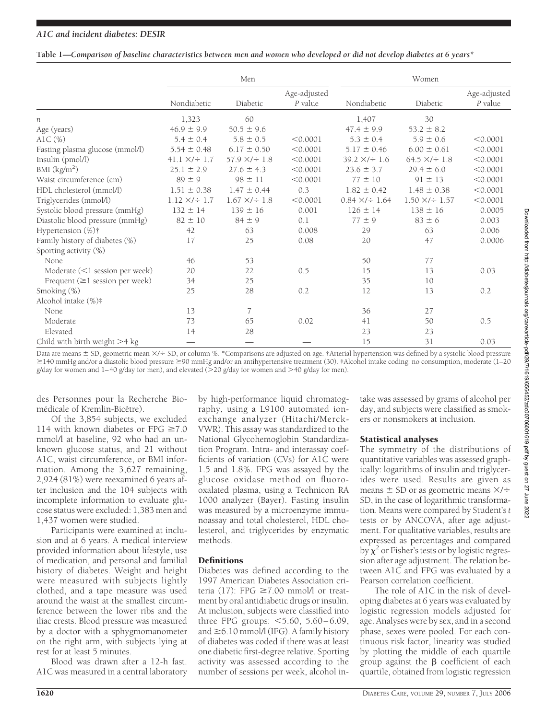#### **Table 1—***Comparison of baseline characteristics between men and women who developed or did not develop diabetes at 6 years\**

|                                       | Men                      |                          |                         | Women                     |                           |                         |
|---------------------------------------|--------------------------|--------------------------|-------------------------|---------------------------|---------------------------|-------------------------|
|                                       | Nondiabetic              | Diabetic                 | Age-adjusted<br>P value | Nondiabetic               | Diabetic                  | Age-adjusted<br>P value |
| n                                     | 1,323                    | 60                       |                         | 1,407                     | 30                        |                         |
| Age (years)                           | $46.9 \pm 9.9$           | $50.5 \pm 9.6$           |                         | $47.4 \pm 9.9$            | $53.2 \pm 8.2$            |                         |
| AlC $(\%)$                            | $5.4 \pm 0.4$            | $5.8 \pm 0.5$            | < 0.0001                | $5.3 \pm 0.4$             | $5.9 \pm 0.6$             | < 0.0001                |
| Fasting plasma glucose (mmol/l)       | $5.54 \pm 0.48$          | $6.17 \pm 0.50$          | < 0.0001                | $5.17 \pm 0.46$           | $6.00 \pm 0.61$           | < 0.0001                |
| Insulin (pmol/l)                      | $41.1 \times 7 \div 1.7$ | $57.9 \times 7 \div 1.8$ | < 0.0001                | $39.2 \times 7 \div 1.6$  | $64.5 \times 7 \div 1.8$  | < 0.0001                |
| BMI (kg/m <sup>2</sup> )              | $25.1 \pm 2.9$           | $27.6 \pm 4.3$           | < 0.0001                | $23.6 \pm 3.7$            | $29.4 \pm 6.0$            | < 0.0001                |
| Waist circumference (cm)              | $89 \pm 9$               | $98 \pm 11$              | < 0.0001                | $77 \pm 10$               | $91 \pm 13$               | < 0.0001                |
| HDL cholesterol (mmol/l)              | $1.51 \pm 0.38$          | $1.47 \pm 0.44$          | 0.3                     | $1.82 \pm 0.42$           | $1.48 \pm 0.38$           | < 0.0001                |
| Triglycerides (mmol/l)                | $1.12 \times 7 \div 1.7$ | $1.67 \times 7 \div 1.8$ | < 0.0001                | $0.84 \times 7 \div 1.64$ | $1.50 \times 7 \div 1.57$ | < 0.0001                |
| Systolic blood pressure (mmHg)        | $132 \pm 14$             | $139 \pm 16$             | 0.001                   | $126 \pm 14$              | $138 \pm 16$              | 0.0005                  |
| Diastolic blood pressure (mmHg)       | $82 \pm 10$              | $84 \pm 9$               | 0.1                     | $77 \pm 9$                | $83 \pm 6$                | 0.003                   |
| Hypertension (%)†                     | 42                       | 63                       | 0.008                   | 29                        | 63                        | 0.006                   |
| Family history of diabetes (%)        | 17                       | 25                       | 0.08                    | 20                        | 47                        | 0.0006                  |
| Sporting activity (%)                 |                          |                          |                         |                           |                           |                         |
| None.                                 | 46                       | 53                       |                         | 50                        | 77                        |                         |
| Moderate $(<1$ session per week)      | 20                       | 22                       | 0.5                     | 15                        | 13                        | 0.03                    |
| Frequent $(\geq 1)$ session per week) | 34                       | 25                       |                         | 35                        | 10                        |                         |
| Smoking (%)                           | 25                       | 28                       | 0.2                     | 12                        | 13                        | 0.2                     |
| Alcohol intake (%)#                   |                          |                          |                         |                           |                           |                         |
| None                                  | 13                       | 7                        |                         | 36                        | 27                        |                         |
| Moderate                              | 73                       | 65                       | 0.02                    | 41                        | 50                        | 0.5                     |
| Elevated                              | 14                       | 28                       |                         | 23                        | 23                        |                         |
| Child with birth weight $>4$ kg       |                          |                          |                         | 15                        | 31                        | 0.03                    |

Data are means  $\pm$  SD, geometric mean  $\times$ / $\div$  SD, or column %. \*Comparisons are adjusted on age. †Arterial hypertension was defined by a systolic blood pressure  $≥140$  mmHg and/or a diastolic blood pressure  $≥90$  mmHg and/or an antihypertensive treatment (30). ‡Alcohol intake coding: no consumption, moderate (1–20 g/day for women and 1–40 g/day for men), and elevated ( $>$ 20 g/day for women and  $>$ 40 g/day for men).

des Personnes pour la Recherche Biomédicale of Kremlin-Bicêtre).

Of the 3,854 subjects, we excluded 114 with known diabetes or FPG  $\geq 7.0$ mmol/l at baseline, 92 who had an unknown glucose status, and 21 without A1C, waist circumference, or BMI information. Among the 3,627 remaining, 2,924 (81%) were reexamined 6 years after inclusion and the 104 subjects with incomplete information to evaluate glucose status were excluded: 1,383 men and 1,437 women were studied.

Participants were examined at inclusion and at 6 years. A medical interview provided information about lifestyle, use of medication, and personal and familial history of diabetes. Weight and height were measured with subjects lightly clothed, and a tape measure was used around the waist at the smallest circumference between the lower ribs and the iliac crests. Blood pressure was measured by a doctor with a sphygmomanometer on the right arm, with subjects lying at rest for at least 5 minutes.

Blood was drawn after a 12-h fast. A1C was measured in a central laboratory

by high-performance liquid chromatography, using a L9100 automated ionexchange analyzer (Hitachi/Merck-VWR). This assay was standardized to the National Glycohemoglobin Standardization Program. Intra- and interassay coefficients of variation (CVs) for A1C were 1.5 and 1.8%. FPG was assayed by the glucose oxidase method on fluorooxalated plasma, using a Technicon RA 1000 analyzer (Bayer). Fasting insulin was measured by a microenzyme immunoassay and total cholesterol, HDL cholesterol, and triglycerides by enzymatic methods.

#### Definitions

Diabetes was defined according to the 1997 American Diabetes Association criteria (17): FPG  $\geq$ 7.00 mmol/l or treatment by oral antidiabetic drugs or insulin. At inclusion, subjects were classified into three FPG groups: <5.60, 5.60-6.09, and  $\geq$  6.10 mmol/l (IFG). A family history of diabetes was coded if there was at least one diabetic first-degree relative. Sporting activity was assessed according to the number of sessions per week, alcohol intake was assessed by grams of alcohol per day, and subjects were classified as smokers or nonsmokers at inclusion.

## Statistical analyses

The symmetry of the distributions of quantitative variables was assessed graphically: logarithms of insulin and triglycerides were used. Results are given as means  $\pm$  SD or as geometric means  $\times/ \div$ SD, in the case of logarithmic transformation. Means were compared by Student's *t* tests or by ANCOVA, after age adjustment. For qualitative variables, results are expressed as percentages and compared by  $\chi^2$  or Fisher's tests or by logistic regression after age adjustment. The relation between A1C and FPG was evaluated by a Pearson correlation coefficient.

The role of A1C in the risk of developing diabetes at 6 years was evaluated by logistic regression models adjusted for age. Analyses were by sex, and in a second phase, sexes were pooled. For each continuous risk factor, linearity was studied by plotting the middle of each quartile group against the  $\beta$  coefficient of each quartile, obtained from logistic regression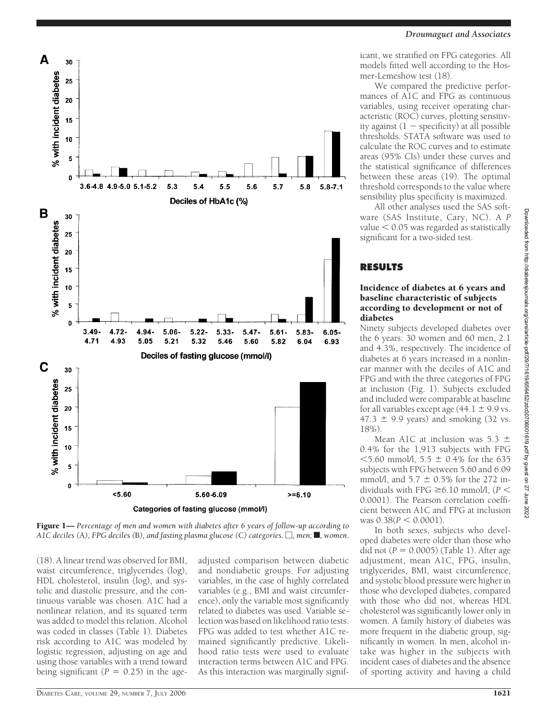



Figure 1— *Percentage of men and women with diabetes after 6 years of follow-up according to*  $A1C$  deciles (A), FPG deciles (B), and fasting plasma glucose (C) categories.  $\Box$ , men;  $\blacksquare$ , women.

(18). A linear trend was observed for BMI, waist circumference, triglycerides (log), HDL cholesterol, insulin (log), and systolic and diastolic pressure, and the continuous variable was chosen. A1C had a nonlinear relation, and its squared term was added to model this relation. Alcohol was coded in classes (Table 1). Diabetes risk according to A1C was modeled by logistic regression, adjusting on age and using those variables with a trend toward being significant  $(P = 0.25)$  in the age-

adjusted comparison between diabetic and nondiabetic groups. For adjusting variables, in the case of highly correlated variables (e.g., BMI and waist circumference), only the variable most significantly related to diabetes was used. Variable selection was based on likelihood ratio tests. FPG was added to test whether A1C remained significantly predictive. Likelihood ratio tests were used to evaluate interaction terms between A1C and FPG. As this interaction was marginally significant, we stratified on FPG categories. All models fitted well according to the Hosmer-Lemeshow test (18).

We compared the predictive performances of A1C and FPG as continuous variables, using receiver operating characteristic (ROC) curves, plotting sensitivity against  $(1 - \text{specificity})$  at all possible thresholds. STATA software was used to calculate the ROC curves and to estimate areas (95% CIs) under these curves and the statistical significance of differences between these areas (19). The optimal threshold corresponds to the value where sensibility plus specificity is maximized.

All other analyses used the SAS software (SAS Institute, Cary, NC). A *P* value  $< 0.05$  was regarded as statistically significant for a two-sided test.

# **RESULTS**

#### Incidence of diabetes at 6 years and baseline characteristic of subjects according to development or not of diabetes

Ninety subjects developed diabetes over the 6 years: 30 women and 60 men, 2.1 and 4.3%, respectively. The incidence of diabetes at 6 years increased in a nonlinear manner with the deciles of A1C and FPG and with the three categories of FPG at inclusion (Fig. 1). Subjects excluded and included were comparable at baseline for all variables except age  $(44.1 \pm 9.9 \text{ vs.})$  $47.3 \pm 9.9$  years) and smoking (32 vs. 18%).

Mean A1C at inclusion was 5.3  $\pm$ 0.4% for the 1,913 subjects with FPG  $<$  5.60 mmol/l, 5.5  $\pm$  0.4% for the 635 subjects with FPG between 5.60 and 6.09 mmol/l, and  $5.7 \pm 0.5\%$  for the 272 individuals with FPG  $\geq 6.10$  mmol/l, ( $P <$ 0.0001). The Pearson correlation coefficient between A1C and FPG at inclusion was  $0.38(P < 0.0001)$ .

In both sexes, subjects who developed diabetes were older than those who did not  $(P = 0.0005)$  (Table 1). After age adjustment, mean A1C, FPG, insulin, triglycerides, BMI, waist circumference, and systolic blood pressure were higher in those who developed diabetes, compared with those who did not, whereas HDL cholesterol was significantly lower only in women. A family history of diabetes was more frequent in the diabetic group, significantly in women. In men, alcohol intake was higher in the subjects with incident cases of diabetes and the absence of sporting activity and having a child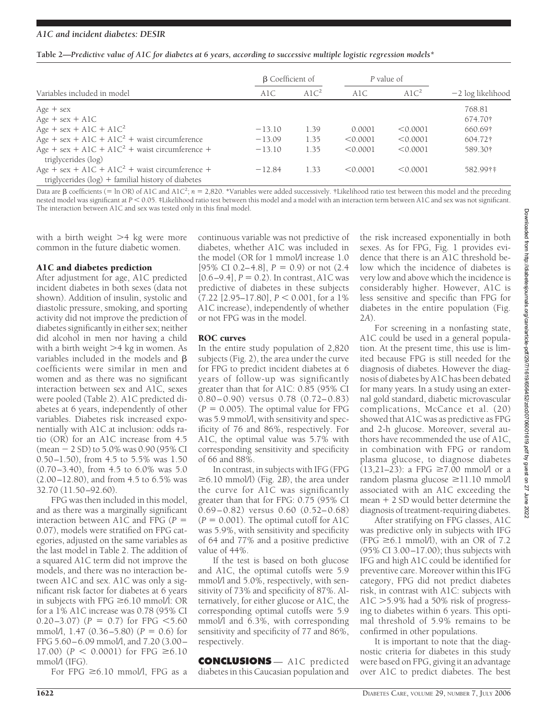#### *A1C and incident diabetes: DESIR*

| Table 2—Predictive value of A1C for diabetes at 6 years, according to successive multiple logistic regression models* |  |  |  |
|-----------------------------------------------------------------------------------------------------------------------|--|--|--|
|                                                                                                                       |  |  |  |

|                                                            | <b>B</b> Coefficient of |                  | P value of |          |                     |  |
|------------------------------------------------------------|-------------------------|------------------|------------|----------|---------------------|--|
| Variables included in model                                | A1C                     | A1C <sup>2</sup> | A1C        | A $1C2$  | $-2$ log likelihood |  |
| $Age + sex$                                                |                         |                  |            |          | 768.81              |  |
| $Age + sex + A1C$                                          |                         |                  |            |          | 674.70†             |  |
| Age + sex + AlC + AlC <sup>2</sup>                         | $-13.10$                | 1.39             | 0.0001     | < 0.0001 | 660.69†             |  |
| Age + sex + A1C + A1C <sup>2</sup> + waist circumference   | $-13.09$                | 1.35             | < 0.0001   | < 0.0001 | 604.72†             |  |
| Age + sex + A1C + A1C <sup>2</sup> + waist circumference + | $-13.10$                | 1.35             | < 0.0001   | < 0.0001 | 589.30†             |  |
| triglycerides (log)                                        |                         |                  |            |          |                     |  |
| Age + sex + A1C + A1C <sup>2</sup> + waist circumference + | $-12.84$                | 1.33             | < 0.0001   | < 0.0001 | 582.99†‡            |  |
| triglycerides $(log)$ + familial history of diabetes       |                         |                  |            |          |                     |  |

Data are  $\beta$  coefficients (= ln OR) of A1C and A1C<sup>2</sup>;  $n = 2,820$ . \*Variables were added successively. †Likelihood ratio test between this model and the preceding nested model was significant at  $P < 0.05$ . ‡Likelihood ratio test between this model and a model with an interaction term between A1C and sex was not significant. The interaction between A1C and sex was tested only in this final model.

with a birth weight  $>4$  kg were more common in the future diabetic women.

#### A1C and diabetes prediction

After adjustment for age, A1C predicted incident diabetes in both sexes (data not shown). Addition of insulin, systolic and diastolic pressure, smoking, and sporting activity did not improve the prediction of diabetes significantly in either sex; neither did alcohol in men nor having a child with a birth weight  $>4$  kg in women. As variables included in the models and  $\beta$ coefficients were similar in men and women and as there was no significant interaction between sex and A1C, sexes were pooled (Table 2). A1C predicted diabetes at 6 years, independently of other variables. Diabetes risk increased exponentially with A1C at inclusion: odds ratio (OR) for an A1C increase from 4.5  $(mean - 2 SD)$  to 5.0% was 0.90 (95% CI 0.50–1.50), from 4.5 to 5.5% was 1.50 (0.70–3.40), from 4.5 to 6.0% was 5.0 (2.00–12.80), and from 4.5 to 6.5% was 32.70 (11.50–92.60).

FPG was then included in this model, and as there was a marginally significant interaction between A1C and FPG (*P* 0.07), models were stratified on FPG categories, adjusted on the same variables as the last model in Table 2. The addition of a squared A1C term did not improve the models, and there was no interaction between A1C and sex. A1C was only a significant risk factor for diabetes at 6 years in subjects with FPG  $\geq 6.10$  mmol/l: OR for a 1% A1C increase was 0.78 (95% CI  $(0.20-3.07)$  ( $P = 0.7$ ) for FPG <5.60 mmol/l, 1.47  $(0.36 - 5.80)$   $(P = 0.6)$  for FPG 5.60–6.09 mmol/l, and 7.20 (3.00– 17.00) ( $P < 0.0001$ ) for FPG  $\ge 6.10$ mmol/l (IFG).

For FPG  $\geq 6.10$  mmol/l, FPG as a

continuous variable was not predictive of diabetes, whether A1C was included in the model (OR for 1 mmol/l increase 1.0 [95% CI 0.2–4.8],  $P = 0.9$  or not  $(2.4)$  $[0.6–9.4]$ ,  $P = 0.2$ ). In contrast, A1C was predictive of diabetes in these subjects (7.22 [2.95-17.80],  $P < 0.001$ , for a 1% A1C increase), independently of whether or not FPG was in the model.

#### ROC curves

In the entire study population of 2,820 subjects (Fig. 2), the area under the curve for FPG to predict incident diabetes at 6 years of follow-up was significantly greater than that for A1C: 0.85 (95% CI 0.80–0.90) versus 0.78 (0.72–0.83)  $(P = 0.005)$ . The optimal value for FPG was 5.9 mmol/l, with sensitivity and specificity of 76 and 86%, respectively. For A1C, the optimal value was 5.7% with corresponding sensitivity and specificity of 66 and 88%.

In contrast, in subjects with IFG (FPG  $\geq 6.10$  mmol/l) (Fig. 2*B*), the area under the curve for A1C was significantly greater than that for FPG: 0.75 (95% CI 0.69–0.82) versus 0.60 (0.52–0.68)  $(P = 0.001)$ . The optimal cutoff for A1C was 5.9%, with sensitivity and specificity of 64 and 77% and a positive predictive value of 44%.

If the test is based on both glucose and A1C, the optimal cutoffs were 5.9 mmol/l and 5.0%, respectively, with sensitivity of 73% and specificity of 87%. Alternatively, for either glucose or A1C, the corresponding optimal cutoffs were 5.9 mmol/l and 6.3%, with corresponding sensitivity and specificity of 77 and 86%, respectively.

**CONCLUSIONS** — A1C predicted diabetes in this Caucasian population and

the risk increased exponentially in both sexes. As for FPG, Fig. 1 provides evidence that there is an A1C threshold below which the incidence of diabetes is very low and above which the incidence is considerably higher. However, A1C is less sensitive and specific than FPG for diabetes in the entire population (Fig. 2*A*).

For screening in a nonfasting state, A1C could be used in a general population. At the present time, this use is limited because FPG is still needed for the diagnosis of diabetes. However the diagnosis of diabetes by A1C has been debated for many years. In a study using an external gold standard, diabetic microvascular complications, McCance et al. (20) showed that A1C was as predictive as FPG and 2-h glucose. Moreover, several authors have recommended the use of A1C, in combination with FPG or random plasma glucose, to diagnose diabetes (13,21–23): a FPG  $\geq 7.00$  mmol/l or a random plasma glucose  $\geq$ 11.10 mmol/l associated with an A1C exceeding the mean 2 SD would better determine the diagnosis of treatment-requiring diabetes.

After stratifying on FPG classes, A1C was predictive only in subjects with IFG  $(FPG \ge 6.1 \text{ mmol/l})$ , with an OR of 7.2 (95% CI 3.00–17.00); thus subjects with IFG and high A1C could be identified for preventive care. Moreover within this IFG category, FPG did not predict diabetes risk, in contrast with A1C: subjects with A1C  $>5.9\%$  had a 50% risk of progressing to diabetes within 6 years. This optimal threshold of 5.9% remains to be confirmed in other populations.

It is important to note that the diagnostic criteria for diabetes in this study were based on FPG, giving it an advantage over A1C to predict diabetes. The best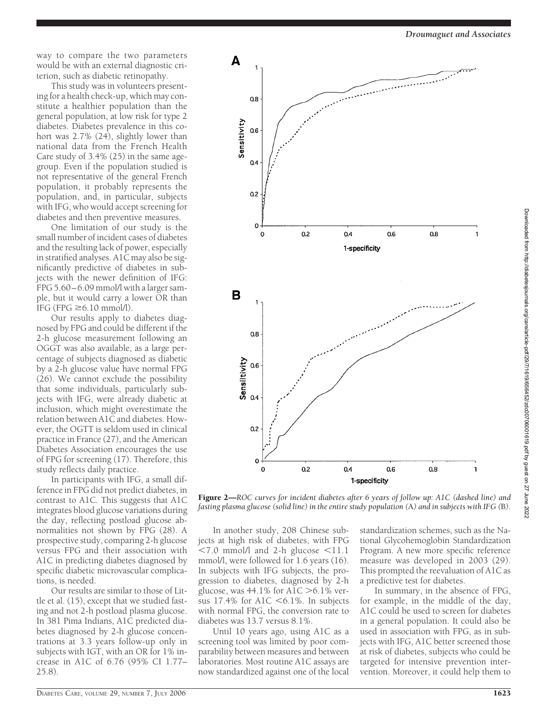*Droumaguet and Associates*

way to compare the two parameters would be with an external diagnostic criterion, such as diabetic retinopathy.

This study was in volunteers presenting for a health check-up, which may constitute a healthier population than the general population, at low risk for type 2 diabetes. Diabetes prevalence in this cohort was 2.7% (24), slightly lower than national data from the French Health Care study of 3.4% (25) in the same agegroup. Even if the population studied is not representative of the general French population, it probably represents the population, and, in particular, subjects with IFG, who would accept screening for diabetes and then preventive measures.

One limitation of our study is the small number of incident cases of diabetes and the resulting lack of power, especially in stratified analyses. A1C may also be significantly predictive of diabetes in subjects with the newer definition of IFG: FPG 5.60–6.09 mmol/l with a larger sample, but it would carry a lower OR than IFG (FPG  $\geq 6.10$  mmol/l).

Our results apply to diabetes diagnosed by FPG and could be different if the 2-h glucose measurement following an OGGT was also available, as a large percentage of subjects diagnosed as diabetic by a 2-h glucose value have normal FPG (26). We cannot exclude the possibility that some individuals, particularly subjects with IFG, were already diabetic at inclusion, which might overestimate the relation between A1C and diabetes. However, the OGTT is seldom used in clinical practice in France (27), and the American Diabetes Association encourages the use of FPG for screening (17). Therefore, this study reflects daily practice.

In participants with IFG, a small difference in FPG did not predict diabetes, in contrast to A1C. This suggests that A1C integrates blood glucose variations during the day, reflecting postload glucose abnormalities not shown by FPG (28). A prospective study, comparing 2-h glucose versus FPG and their association with A1C in predicting diabetes diagnosed by specific diabetic microvascular complications, is needed.

Our results are similar to those of Little et al. (15), except that we studied fasting and not 2-h postload plasma glucose. In 381 Pima Indians, A1C predicted diabetes diagnosed by 2-h glucose concentrations at 3.3 years follow-up only in subjects with IGT, with an OR for 1% increase in A1C of 6.76 (95% CI 1.77– 25.8).



Figure 2—*ROC curves for incident diabetes after 6 years of follow up: A1C (dashed line) and fasting plasma glucose (solid line) in the entire study population (*A*) and in subjects with IFG (*B*).*

In another study, 208 Chinese subjects at high risk of diabetes, with FPG  $< 7.0$  mmol/l and 2-h glucose  $< 11.1$ mmol/l, were followed for 1.6 years (16). In subjects with IFG subjects, the progression to diabetes, diagnosed by 2-h glucose, was  $44.1\%$  for A1C  $> 6.1\%$  versus  $17.4\%$  for A1C  $\leq 6.1\%$ . In subjects with normal FPG, the conversion rate to diabetes was 13.7 versus 8.1%.

Until 10 years ago, using A1C as a screening tool was limited by poor comparability between measures and between laboratories. Most routine A1C assays are now standardized against one of the local standardization schemes, such as the National Glycohemoglobin Standardization Program. A new more specific reference measure was developed in 2003 (29). This prompted the reevaluation of A1C as a predictive test for diabetes.

In summary, in the absence of FPG, for example, in the middle of the day, A1C could be used to screen for diabetes in a general population. It could also be used in association with FPG, as in subjects with IFG, A1C better screened those at risk of diabetes, subjects who could be targeted for intensive prevention intervention. Moreover, it could help them to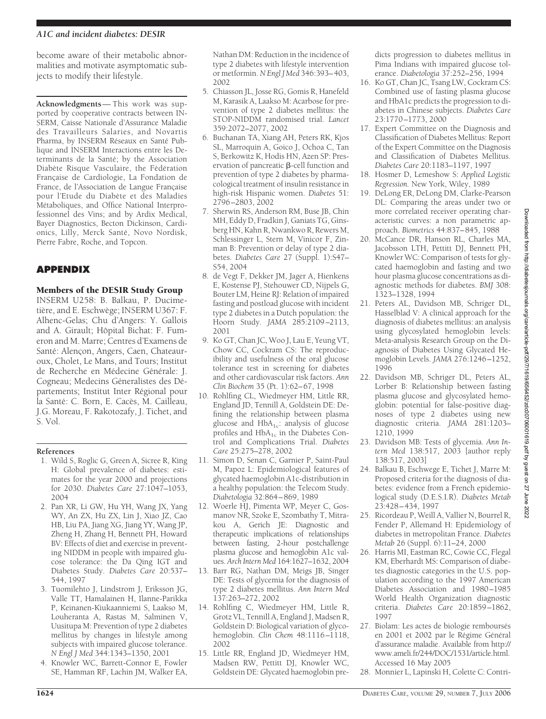### *A1C and incident diabetes: DESIR*

become aware of their metabolic abnormalities and motivate asymptomatic subjects to modify their lifestyle.

**Acknowledgments**— This work was supported by cooperative contracts between IN-SERM, Caisse Nationale d'Assurance Maladie des Travailleurs Salaries, and Novartis Pharma, by INSERM Réseaux en Santé Publique and INSERM Interactions entre les Determinants de la Santé; by the Association Diabète Risque Vasculaire, the Fédération Française de Cardiologie, La Fondation de France, de l'Association de Langue Française pour l'Etude du Diabète et des Maladies Métaboliques, and Office National Interprofessionnel des Vins; and by Ardix Medical, Bayer Diagnostics, Becton Dickinson, Cardionics, Lilly, Merck Santé, Novo Nordisk, Pierre Fabre, Roche, and Topcon.

# **APPENDIX**

## Members of the DESIR Study Group

INSERM U258: B. Balkau, P. Ducimetière, and E. Eschwège; INSERM U367: F. Alhenc-Gelas; Chu d'Angers: Y. Gallois and A. Girault; Hôpital Bichat: F. Fumeron and M. Marre; Centres d'Examens de Santé: Alençon, Angers, Caen, Chateauroux, Cholet, Le Mans, and Tours; Institut de Recherche en Médecine Générale: J. Cogneau; Medecins Géneralistes des Départements; Institut Inter Régional pour la Santé: C. Born, E. Cacès, M. Cailleau, J.G. Moreau, F. Rakotozafy, J. Tichet, and S. Vol.

#### **References**

- 1. Wild S, Roglic G, Green A, Sicree R, King H: Global prevalence of diabetes: estimates for the year 2000 and projections for 2030. *Diabetes Care* 27:1047–1053, 2004
- 2. Pan XR, Li GW, Hu YH, Wang JX, Yang WY, An ZX, Hu ZX, Lin J, Xiao JZ, Cao HB, Liu PA, Jiang XG, Jiang YY, Wang JP, Zheng H, Zhang H, Bennett PH, Howard BV: Effects of diet and exercise in preventing NIDDM in people with impaired glucose tolerance: the Da Qing IGT and Diabetes Study. *Diabetes Care* 20:537– 544, 1997
- 3. Tuomilehto J, Lindstrom J, Eriksson JG, Valle TT, Hamalainen H, Ilanne-Parikka P, Keinanen-Kiukaanniemi S, Laakso M, Louheranta A, Rastas M, Salminen V, Uusitupa M: Prevention of type 2 diabetes mellitus by changes in lifestyle among subjects with impaired glucose tolerance. *N Engl J Med* 344:1343–1350, 2001
- 4. Knowler WC, Barrett-Connor E, Fowler SE, Hamman RF, Lachin JM, Walker EA,

Nathan DM: Reduction in the incidence of type 2 diabetes with lifestyle intervention or metformin.*N Engl J Med* 346:393–403, 2002

- 5. Chiasson JL, Josse RG, Gomis R, Hanefeld M, Karasik A, Laakso M: Acarbose for prevention of type 2 diabetes mellitus: the STOP-NIDDM randomised trial. *Lancet* 359:2072–2077, 2002
- 6. Buchanan TA, Xiang AH, Peters RK, Kjos SL, Marroquin A, Goico J, Ochoa C, Tan S, Berkowitz K, Hodis HN, Azen SP: Preservation of pancreatic  $\beta$ -cell function and prevention of type 2 diabetes by pharmacological treatment of insulin resistance in high-risk Hispanic women. *Diabetes* 51: 2796–2803, 2002
- 7. Sherwin RS, Anderson RM, Buse JB, Chin MH, Eddy D, Fradkin J, Ganiats TG, Ginsberg HN, Kahn R, Nwankwo R, Rewers M, Schlessinger L, Stern M, Vinicor F, Zinman B: Prevention or delay of type 2 diabetes. *Diabetes Care* 27 (Suppl. 1):S47– S54, 2004
- 8. de Vegt F, Dekker JM, Jager A, Hienkens E, Kostense PJ, Stehouwer CD, Nijpels G, Bouter LM, Heine RJ: Relation of impaired fasting and postload glucose with incident type 2 diabetes in a Dutch population: the Hoorn Study. *JAMA* 285:2109–2113, 2001
- 9. Ko GT, Chan JC, Woo J, Lau E, Yeung VT, Chow CC, Cockram CS: The reproducibility and usefulness of the oral glucose tolerance test in screening for diabetes and other cardiovascular risk factors. *Ann Clin Biochem* 35 (Pt. 1):62–67, 1998
- 10. Rohlfing CL, Wiedmeyer HM, Little RR, England JD, Tennill A, Goldstein DE: Defining the relationship between plasma glucose and  $HbA_{1c}$ : analysis of glucose profiles and  $HbA_{1c}$  in the Diabetes Control and Complications Trial. *Diabetes Care* 25:275–278, 2002
- 11. Simon D, Senan C, Garnier P, Saint-Paul M, Papoz L: Epidemiological features of glycated haemoglobin A1c-distribution in a healthy population: the Telecom Study. *Diabetologia* 32:864–869, 1989
- 12. Woerle HJ, Pimenta WP, Meyer C, Gosmanov NR, Szoke E, Szombathy T, Mitrakou A, Gerich JE: Diagnostic and therapeutic implications of relationships between fasting, 2-hour postchallenge plasma glucose and hemoglobin A1c values. *Arch Intern Med* 164:1627–1632, 2004
- 13. Barr RG, Nathan DM, Meigs JB, Singer DE: Tests of glycemia for the diagnosis of type 2 diabetes mellitus. *Ann Intern Med* 137:263–272, 2002
- 14. Rohlfing C, Wiedmeyer HM, Little R, Grotz VL, Tennill A, England J, Madsen R, Goldstein D: Biological variation of glycohemoglobin. *Clin Chem* 48:1116–1118, 2002
- 15. Little RR, England JD, Wiedmeyer HM, Madsen RW, Pettitt DJ, Knowler WC, Goldstein DE: Glycated haemoglobin pre-

dicts progression to diabetes mellitus in Pima Indians with impaired glucose tolerance. *Diabetologia* 37:252–256, 1994

- 16. Ko GT, Chan JC, Tsang LW, Cockram CS: Combined use of fasting plasma glucose and HbA1c predicts the progression to diabetes in Chinese subjects. *Diabetes Care* 23:1770–1773, 2000
- 17. Expert Committee on the Diagnosis and Classification of Diabetes Mellitus: Report of the Expert Committee on the Diagnosis and Classification of Diabetes Mellitus. *Diabetes Care* 20:1183–1197, 1997
- 18. Hosmer D, Lemeshow S: *Applied Logistic Regression.* New York, Wiley, 1989
- 19. DeLong ER, DeLong DM, Clarke-Pearson DL: Comparing the areas under two or more correlated receiver operating characteristic curves: a non parametric approach. *Biometrics* 44:837–845, 1988
- 20. McCance DR, Hanson RL, Charles MA, Jacobsson LTH, Pettitt DJ, Bennett PH, Knowler WC: Comparison of tests for glycated haemoglobin and fasting and two hour plasma glucose concentrations as diagnostic methods for diabetes. *BMJ* 308: 1323–1328, 1994
- 21. Peters AL, Davidson MB, Schriger DL, Hasselblad V: A clinical approach for the diagnosis of diabetes mellitus: an analysis using glycosylated hemoglobin levels: Meta-analysis Research Group on the Diagnosis of Diabetes Using Glycated Hemoglobin Levels. *JAMA* 276:1246–1252, 1996
- 22. Davidson MB, Schriger DL, Peters AL, Lorber B: Relationship between fasting plasma glucose and glycosylated hemoglobin: potential for false-positive diagnoses of type 2 diabetes using new diagnostic criteria. *JAMA* 281:1203– 1210, 1999
- 23. Davidson MB: Tests of glycemia. *Ann Intern Med* 138:517, 2003 [author reply 138:517, 2003]
- 24. Balkau B, Eschwege E, Tichet J, Marre M: Proposed criteria for the diagnosis of diabetes: evidence from a French epidemiological study (D.E.S.I.R). *Diabetes Metab* 23:428–434, 1997
- 25. Ricordeau P, Weill A, Vallier N, Bourrel R, Fender P, Allemand H: Epidemiology of diabetes in metropolitan France. *Diabetes Metab* 26 (Suppl. 6):11–24, 2000
- 26. Harris MI, Eastman RC, Cowie CC, Flegal KM, Eberhardt MS: Comparison of diabetes diagnostic categories in the U.S. population according to the 1997 American Diabetes Association and 1980–1985 World Health Organization diagnostic criteria. *Diabetes Care* 20:1859–1862, 1997
- 27. Biolam: Les actes de biologie remboursés en 2001 et 2002 par le Régime Général d'assurance maladie. Available from http:// www.ameli.fr/244/DOC/1531/article.html. Accessed 16 May 2005
- 28. Monnier L, Lapinski H, Colette C: Contri-